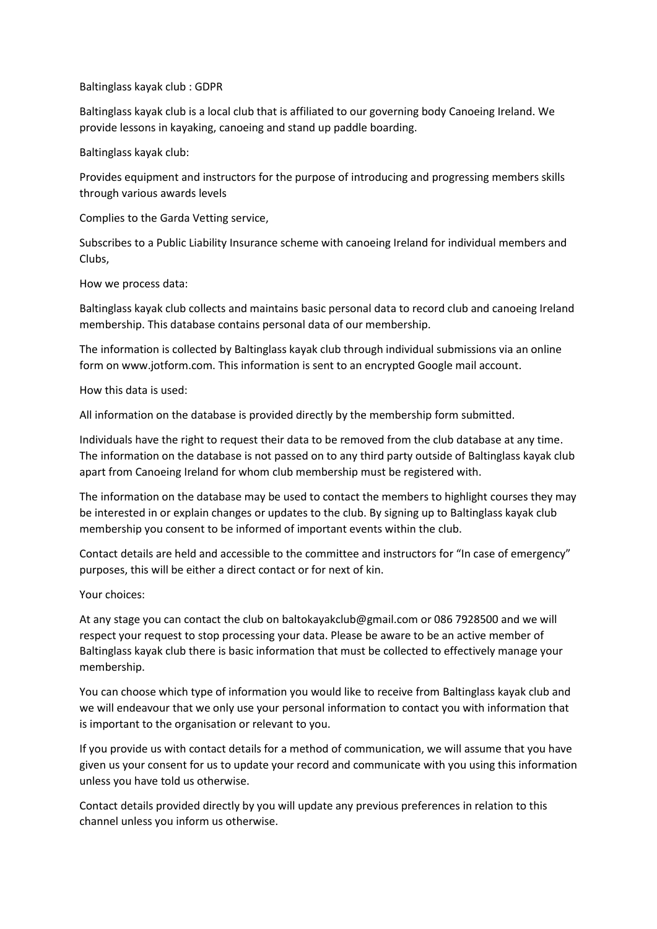## Baltinglass kayak club : GDPR

Baltinglass kayak club is a local club that is affiliated to our governing body Canoeing Ireland. We provide lessons in kayaking, canoeing and stand up paddle boarding.

Baltinglass kayak club:

Provides equipment and instructors for the purpose of introducing and progressing members skills through various awards levels

Complies to the Garda Vetting service,

Subscribes to a Public Liability Insurance scheme with canoeing Ireland for individual members and Clubs,

## How we process data:

Baltinglass kayak club collects and maintains basic personal data to record club and canoeing Ireland membership. This database contains personal data of our membership.

The information is collected by Baltinglass kayak club through individual submissions via an online form on www.jotform.com. This information is sent to an encrypted Google mail account.

How this data is used:

All information on the database is provided directly by the membership form submitted.

Individuals have the right to request their data to be removed from the club database at any time. The information on the database is not passed on to any third party outside of Baltinglass kayak club apart from Canoeing Ireland for whom club membership must be registered with.

The information on the database may be used to contact the members to highlight courses they may be interested in or explain changes or updates to the club. By signing up to Baltinglass kayak club membership you consent to be informed of important events within the club.

Contact details are held and accessible to the committee and instructors for "In case of emergency" purposes, this will be either a direct contact or for next of kin.

## Your choices:

At any stage you can contact the club on baltokayakclub@gmail.com or 086 7928500 and we will respect your request to stop processing your data. Please be aware to be an active member of Baltinglass kayak club there is basic information that must be collected to effectively manage your membership.

You can choose which type of information you would like to receive from Baltinglass kayak club and we will endeavour that we only use your personal information to contact you with information that is important to the organisation or relevant to you.

If you provide us with contact details for a method of communication, we will assume that you have given us your consent for us to update your record and communicate with you using this information unless you have told us otherwise.

Contact details provided directly by you will update any previous preferences in relation to this channel unless you inform us otherwise.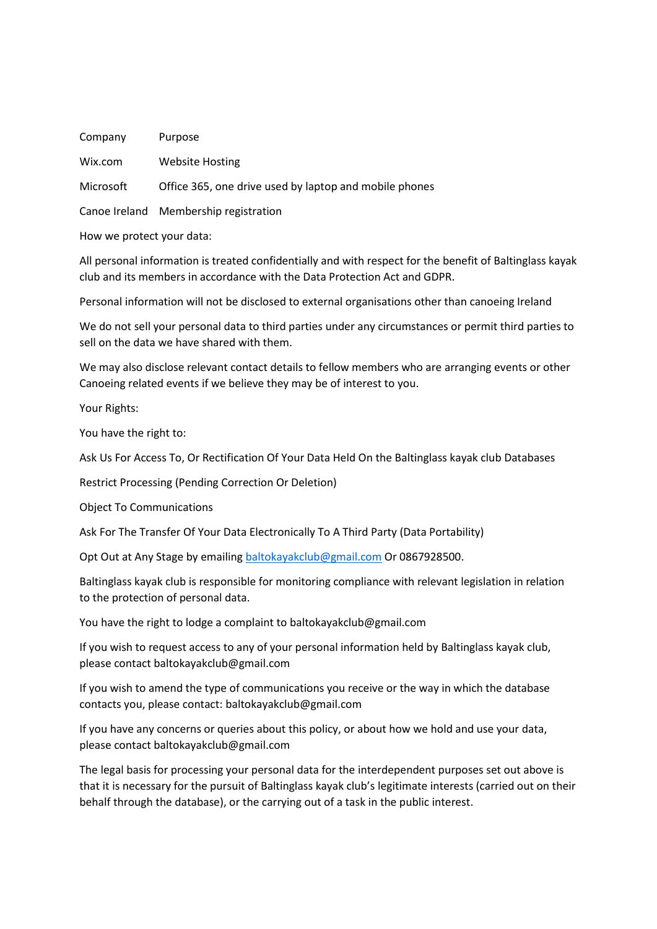| Company   | Purpose                                                |
|-----------|--------------------------------------------------------|
| Wix.com   | <b>Website Hosting</b>                                 |
| Microsoft | Office 365, one drive used by laptop and mobile phones |

Canoe Ireland Membership registration

How we protect your data:

All personal information is treated confidentially and with respect for the benefit of Baltinglass kayak club and its members in accordance with the Data Protection Act and GDPR.

Personal information will not be disclosed to external organisations other than canoeing Ireland

We do not sell your personal data to third parties under any circumstances or permit third parties to sell on the data we have shared with them.

We may also disclose relevant contact details to fellow members who are arranging events or other Canoeing related events if we believe they may be of interest to you.

Your Rights:

You have the right to:

Ask Us For Access To, Or Rectification Of Your Data Held On the Baltinglass kayak club Databases

Restrict Processing (Pending Correction Or Deletion)

Object To Communications

Ask For The Transfer Of Your Data Electronically To A Third Party (Data Portability)

Opt Out at Any Stage by emailin[g baltokayakclub@gmail.com](mailto:baltokayakclub@gmail.com) Or 0867928500.

Baltinglass kayak club is responsible for monitoring compliance with relevant legislation in relation to the protection of personal data.

You have the right to lodge a complaint to baltokayakclub@gmail.com

If you wish to request access to any of your personal information held by Baltinglass kayak club, please contact baltokayakclub@gmail.com

If you wish to amend the type of communications you receive or the way in which the database contacts you, please contact: baltokayakclub@gmail.com

If you have any concerns or queries about this policy, or about how we hold and use your data, please contact baltokayakclub@gmail.com

The legal basis for processing your personal data for the interdependent purposes set out above is that it is necessary for the pursuit of Baltinglass kayak club's legitimate interests (carried out on their behalf through the database), or the carrying out of a task in the public interest.